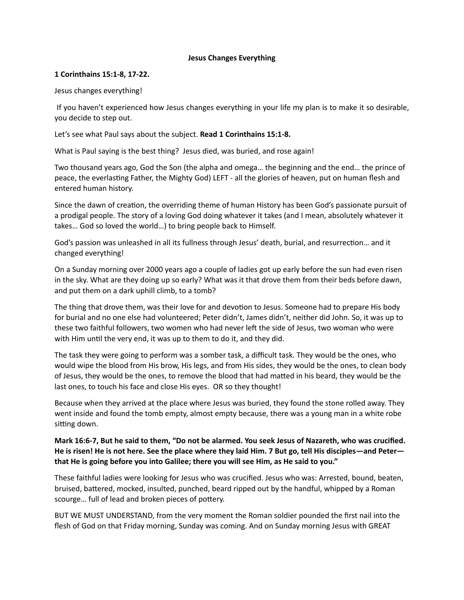#### **Jesus Changes Everything**

#### **1 Corinthains 15:1-8, 17-22.**

Jesus changes everything!

 If you haven't experienced how Jesus changes everything in your life my plan is to make it so desirable, you decide to step out.

Let's see what Paul says about the subject. **Read 1 Corinthains 15:1-8.**

What is Paul saying is the best thing? Jesus died, was buried, and rose again!

Two thousand years ago, God the Son (the alpha and omega… the beginning and the end… the prince of peace, the everlasting Father, the Mighty God) LEFT - all the glories of heaven, put on human flesh and entered human history.

Since the dawn of creation, the overriding theme of human History has been God's passionate pursuit of a prodigal people. The story of a loving God doing whatever it takes (and I mean, absolutely whatever it takes… God so loved the world…) to bring people back to Himself.

God's passion was unleashed in all its fullness through Jesus' death, burial, and resurrection... and it changed everything!

On a Sunday morning over 2000 years ago a couple of ladies got up early before the sun had even risen in the sky. What are they doing up so early? What was it that drove them from their beds before dawn, and put them on a dark uphill climb, to a tomb?

The thing that drove them, was their love for and devotion to Jesus. Someone had to prepare His body for burial and no one else had volunteered; Peter didn't, James didn't, neither did John. So, it was up to these two faithful followers, two women who had never left the side of Jesus, two woman who were with Him until the very end, it was up to them to do it, and they did.

The task they were going to perform was a somber task, a difficult task. They would be the ones, who would wipe the blood from His brow, His legs, and from His sides, they would be the ones, to clean body of Jesus, they would be the ones, to remove the blood that had matted in his beard, they would be the last ones, to touch his face and close His eyes. OR so they thought!

Because when they arrived at the place where Jesus was buried, they found the stone rolled away. They went inside and found the tomb empty, almost empty because, there was a young man in a white robe sitting down.

# **Mark 16:6-7, But he said to them, "Do not be alarmed. You seek Jesus of Nazareth, who was crucified. He is risen! He is not here. See the place where they laid Him. 7 But go, tell His disciples—and Peter that He is going before you into Galilee; there you will see Him, as He said to you."**

These faithful ladies were looking for Jesus who was crucified. Jesus who was: Arrested, bound, beaten, bruised, battered, mocked, insulted, punched, beard ripped out by the handful, whipped by a Roman scourge... full of lead and broken pieces of pottery.

BUT WE MUST UNDERSTAND, from the very moment the Roman soldier pounded the first nail into the flesh of God on that Friday morning, Sunday was coming. And on Sunday morning Jesus with GREAT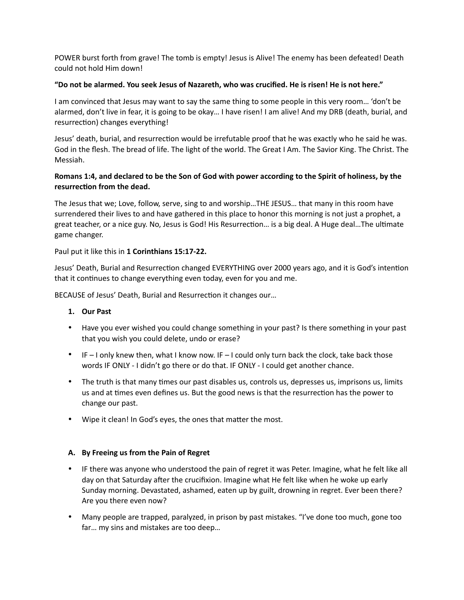POWER burst forth from grave! The tomb is empty! Jesus is Alive! The enemy has been defeated! Death could not hold Him down!

# **"Do not be alarmed. You seek Jesus of Nazareth, who was crucified. He is risen! He is not here."**

I am convinced that Jesus may want to say the same thing to some people in this very room… 'don't be alarmed, don't live in fear, it is going to be okay… I have risen! I am alive! And my DRB (death, burial, and resurrection) changes everything!

Jesus' death, burial, and resurrection would be irrefutable proof that he was exactly who he said he was. God in the flesh. The bread of life. The light of the world. The Great I Am. The Savior King. The Christ. The Messiah.

# **Romans 1:4, and declared to be the Son of God with power according to the Spirit of holiness, by the**  resurrection from the dead.

The Jesus that we; Love, follow, serve, sing to and worship…THE JESUS… that many in this room have surrendered their lives to and have gathered in this place to honor this morning is not just a prophet, a great teacher, or a nice guy. No, Jesus is God! His Resurrection... is a big deal. A Huge deal...The ultimate game changer.

#### Paul put it like this in **1 Corinthians 15:17-22.**

Jesus' Death, Burial and Resurrection changed EVERYTHING over 2000 years ago, and it is God's intention that it continues to change everything even today, even for you and me.

BECAUSE of Jesus' Death, Burial and Resurrection it changes our...

# **1. Our Past**

- Have you ever wished you could change something in your past? Is there something in your past that you wish you could delete, undo or erase?
- $\bullet$  IF I only knew then, what I know now. IF I could only turn back the clock, take back those words IF ONLY - I didn't go there or do that. IF ONLY - I could get another chance.
- The truth is that many times our past disables us, controls us, depresses us, imprisons us, limits us and at times even defines us. But the good news is that the resurrection has the power to change our past.
- Wipe it clean! In God's eyes, the ones that matter the most.

# **A. By Freeing us from the Pain of Regret**

- IF there was anyone who understood the pain of regret it was Peter. Imagine, what he felt like all day on that Saturday after the crucifixion. Imagine what He felt like when he woke up early Sunday morning. Devastated, ashamed, eaten up by guilt, drowning in regret. Ever been there? Are you there even now?
- Many people are trapped, paralyzed, in prison by past mistakes. "I've done too much, gone too far… my sins and mistakes are too deep…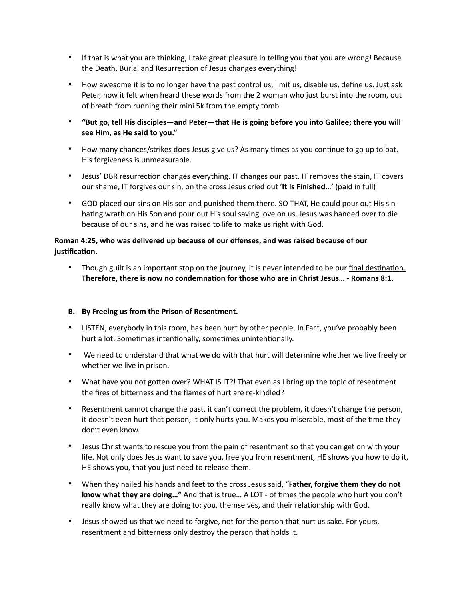- If that is what you are thinking, I take great pleasure in telling you that you are wrong! Because the Death, Burial and Resurrection of Jesus changes everything!
- How awesome it is to no longer have the past control us, limit us, disable us, define us. Just ask Peter, how it felt when heard these words from the 2 woman who just burst into the room, out of breath from running their mini 5k from the empty tomb.
- **"But go, tell His disciples—and Peter—that He is going before you into Galilee; there you will see Him, as He said to you."**
- How many chances/strikes does Jesus give us? As many times as you continue to go up to bat. His forgiveness is unmeasurable.
- Jesus' DBR resurrection changes everything. IT changes our past. IT removes the stain, IT covers our shame, IT forgives our sin, on the cross Jesus cried out '**It Is Finished…'** (paid in full)
- GOD placed our sins on His son and punished them there. SO THAT, He could pour out His sinhating wrath on His Son and pour out His soul saving love on us. Jesus was handed over to die because of our sins, and he was raised to life to make us right with God.

# **Roman 4:25, who was delivered up because of our offenses, and was raised because of our**  justification.

• Though guilt is an important stop on the journey, it is never intended to be our final destination. Therefore, there is now no condemnation for those who are in Christ Jesus... - Romans 8:1.

# **B. By Freeing us from the Prison of Resentment.**

- LISTEN, everybody in this room, has been hurt by other people. In Fact, you've probably been hurt a lot. Sometimes intentionally, sometimes unintentionally.
- We need to understand that what we do with that hurt will determine whether we live freely or whether we live in prison.
- What have you not gotten over? WHAT IS IT?! That even as I bring up the topic of resentment the fires of bitterness and the flames of hurt are re-kindled?
- Resentment cannot change the past, it can't correct the problem, it doesn't change the person, it doesn't even hurt that person, it only hurts you. Makes you miserable, most of the time they don't even know.
- Jesus Christ wants to rescue you from the pain of resentment so that you can get on with your life. Not only does Jesus want to save you, free you from resentment, HE shows you how to do it, HE shows you, that you just need to release them.
- When they nailed his hands and feet to the cross Jesus said, "**Father, forgive them they do not**  know what they are doing..." And that is true... A LOT - of times the people who hurt you don't really know what they are doing to: you, themselves, and their relationship with God.
- Jesus showed us that we need to forgive, not for the person that hurt us sake. For yours, resentment and bitterness only destroy the person that holds it.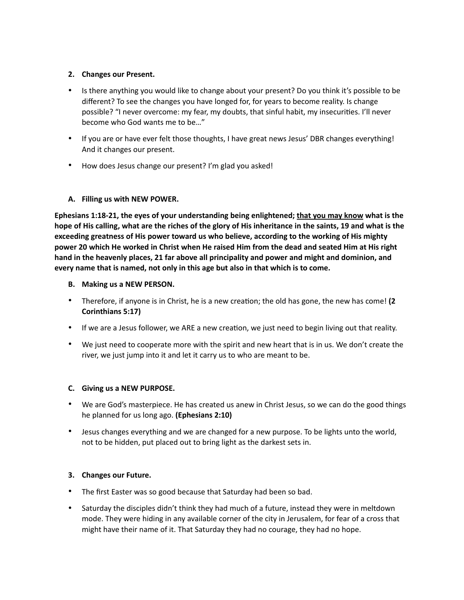# **2. Changes our Present.**

- Is there anything you would like to change about your present? Do you think it's possible to be different? To see the changes you have longed for, for years to become reality. Is change possible? "I never overcome: my fear, my doubts, that sinful habit, my insecurities. I'll never become who God wants me to be…"
- If you are or have ever felt those thoughts, I have great news Jesus' DBR changes everything! And it changes our present.
- How does Jesus change our present? I'm glad you asked!

# **A. Filling us with NEW POWER.**

**Ephesians 1:18-21, the eyes of your understanding being enlightened; that you may know what is the hope of His calling, what are the riches of the glory of His inheritance in the saints, 19 and what is the exceeding greatness of His power toward us who believe, according to the working of His mighty power 20 which He worked in Christ when He raised Him from the dead and seated Him at His right hand in the heavenly places, 21 far above all principality and power and might and dominion, and every name that is named, not only in this age but also in that which is to come.** 

# **B. Making us a NEW PERSON.**

- Therefore, if anyone is in Christ, he is a new creation; the old has gone, the new has come! (2 **Corinthians 5:17)**
- If we are a Jesus follower, we ARE a new creation, we just need to begin living out that reality.
- We just need to cooperate more with the spirit and new heart that is in us. We don't create the river, we just jump into it and let it carry us to who are meant to be.

# **C. Giving us a NEW PURPOSE.**

- We are God's masterpiece. He has created us anew in Christ Jesus, so we can do the good things he planned for us long ago. **(Ephesians 2:10)**
- Jesus changes everything and we are changed for a new purpose. To be lights unto the world, not to be hidden, put placed out to bring light as the darkest sets in.

# **3. Changes our Future.**

- The first Easter was so good because that Saturday had been so bad.
- Saturday the disciples didn't think they had much of a future, instead they were in meltdown mode. They were hiding in any available corner of the city in Jerusalem, for fear of a cross that might have their name of it. That Saturday they had no courage, they had no hope.